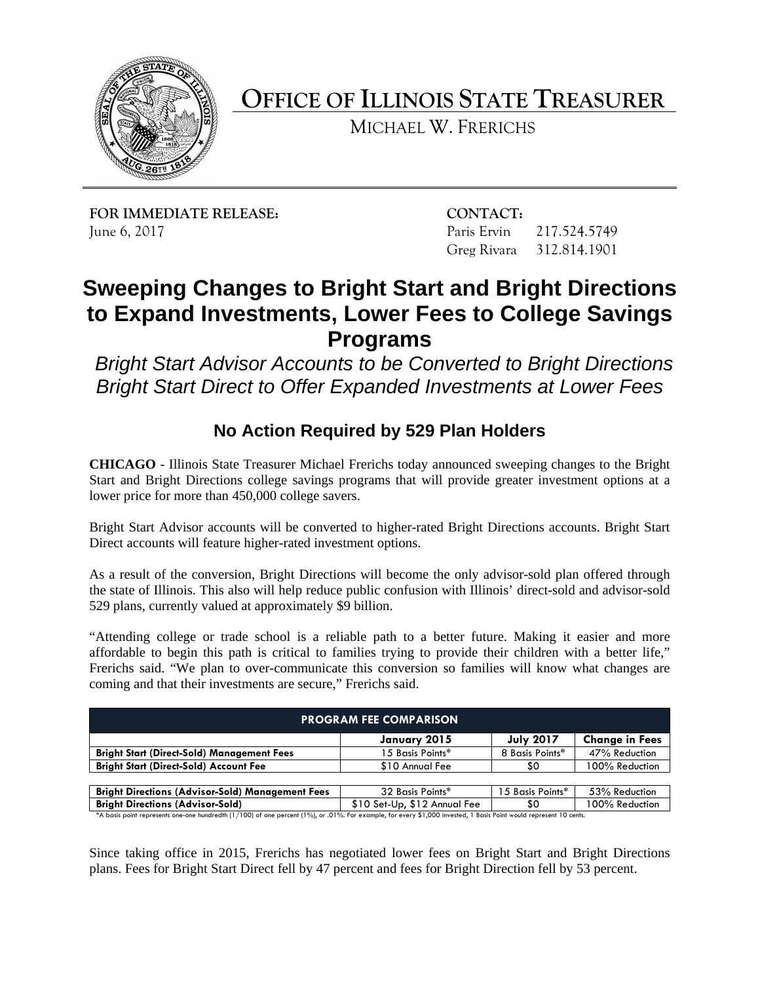

**OFFICE OF ILLINOIS STATE TREASURER** 

MICHAEL W. FRERICHS

**FOR IMMEDIATE RELEASE:** CONTACT: June 6, 2017

Paris Ervin 217.524.5749 Greg Rivara 312.814.1901

# **Sweeping Changes to Bright Start and Bright Directions to Expand Investments, Lower Fees to College Savings Programs**

*Bright Start Advisor Accounts to be Converted to Bright Directions Bright Start Direct to Offer Expanded Investments at Lower Fees* 

## **No Action Required by 529 Plan Holders**

 **CHICAGO** - Illinois State Treasurer Michael Frerichs today announced sweeping changes to the Bright Start and Bright Directions college savings programs that will provide greater investment options at a lower price for more than 450,000 college savers.

Bright Start Advisor accounts will be converted to higher-rated Bright Directions accounts. Bright Start Direct accounts will feature higher-rated investment options.

As a result of the conversion, Bright Directions will become the only advisor-sold plan offered through the state of Illinois. This also will help reduce public confusion with Illinois' direct-sold and advisor-sold 529 plans, currently valued at approximately \$9 billion.

"Attending college or trade school is a reliable path to a better future. Making it easier and more affordable to begin this path is critical to families trying to provide their children with a better life," Frerichs said. "We plan to over-communicate this conversion so families will know what changes are coming and that their investments are secure," Frerichs said.

| <b>PROGRAM FEE COMPARISON</b>                                                                                                                                      |                              |                  |                       |
|--------------------------------------------------------------------------------------------------------------------------------------------------------------------|------------------------------|------------------|-----------------------|
|                                                                                                                                                                    | January 2015                 | <b>July 2017</b> | <b>Change in Fees</b> |
| <b>Bright Start (Direct-Sold) Management Fees</b>                                                                                                                  | 15 Basis Points*             | 8 Basis Points*  | 47% Reduction         |
| <b>Bright Start (Direct-Sold) Account Fee</b>                                                                                                                      | \$10 Annual Fee              | \$0              | 100% Reduction        |
|                                                                                                                                                                    |                              |                  |                       |
| <b>Bright Directions (Advisor-Sold) Management Fees</b>                                                                                                            | 32 Basis Points*             | 15 Basis Points* | 53% Reduction         |
| <b>Bright Directions (Advisor-Sold)</b>                                                                                                                            | \$10 Set-Up, \$12 Annual Fee | \$0              | 100% Reduction        |
| *A basis point represents one-one hundredth (1/100) of one percent (1%), or .01%. For example, for every \$1,000 invested, 1 Basis Point would represent 10 cents. |                              |                  |                       |

Since taking office in 2015, Frerichs has negotiated lower fees on Bright Start and Bright Directions plans. Fees for Bright Start Direct fell by 47 percent and fees for Bright Direction fell by 53 percent.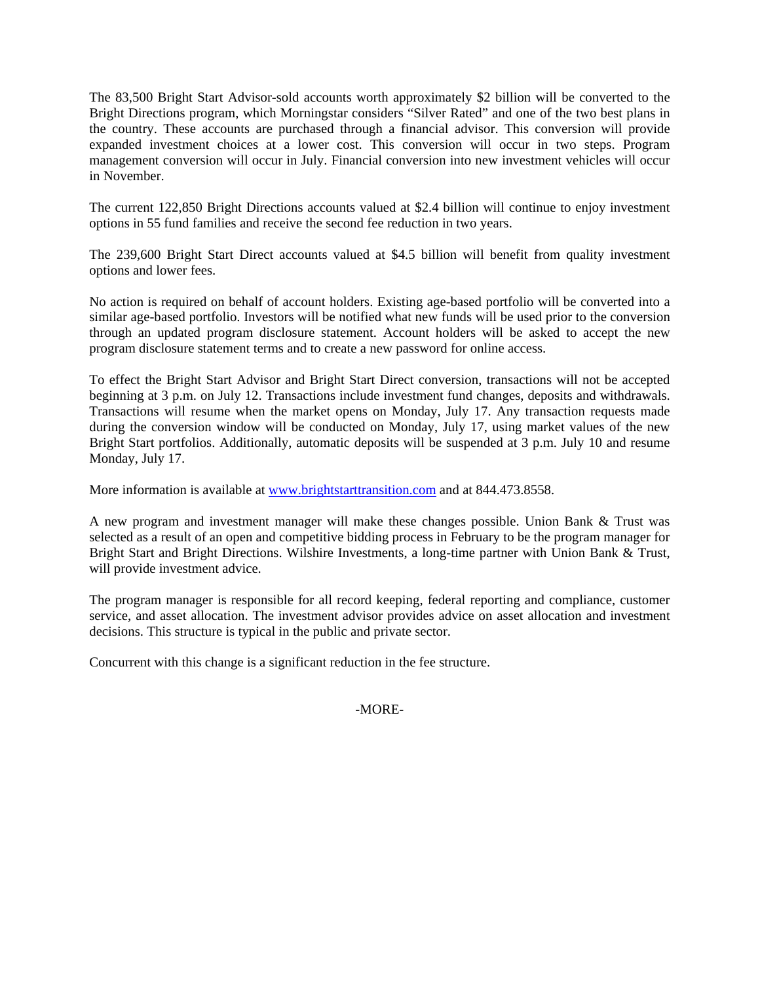Bright Directions program, which Morningstar considers "Silver Rated" and one of the two best plans in the country. These accounts are purchased through a financial advisor. This conversion will provide The 83,500 Bright Start Advisor-sold accounts worth approximately \$2 billion will be converted to the expanded investment choices at a lower cost. This conversion will occur in two steps. Program management conversion will occur in July. Financial conversion into new investment vehicles will occur in November.

The current 122,850 Bright Directions accounts valued at \$2.4 billion will continue to enjoy investment options in 55 fund families and receive the second fee reduction in two years.

The 239,600 Bright Start Direct accounts valued at \$4.5 billion will benefit from quality investment options and lower fees.

 No action is required on behalf of account holders. Existing age-based portfolio will be converted into a through an updated program disclosure statement. Account holders will be asked to accept the new similar age-based portfolio. Investors will be notified what new funds will be used prior to the conversion program disclosure statement terms and to create a new password for online access.

To effect the Bright Start Advisor and Bright Start Direct conversion, transactions will not be accepted beginning at 3 p.m. on July 12. Transactions include investment fund changes, deposits and withdrawals. Transactions will resume when the market opens on Monday, July 17. Any transaction requests made during the conversion window will be conducted on Monday, July 17, using market values of the new Bright Start portfolios. Additionally, automatic deposits will be suspended at 3 p.m. July 10 and resume Monday, July 17.

More information is available at [www.brightstarttransition.com](http://www.brightstarttransition.com/) and at 844.473.8558.

 A new program and investment manager will make these changes possible. Union Bank & Trust was selected as a result of an open and competitive bidding process in February to be the program manager for Bright Start and Bright Directions. Wilshire Investments, a long-time partner with Union Bank & Trust, will provide investment advice.

The program manager is responsible for all record keeping, federal reporting and compliance, customer service, and asset allocation. The investment advisor provides advice on asset allocation and investment decisions. This structure is typical in the public and private sector.

Concurrent with this change is a significant reduction in the fee structure.

### -MORE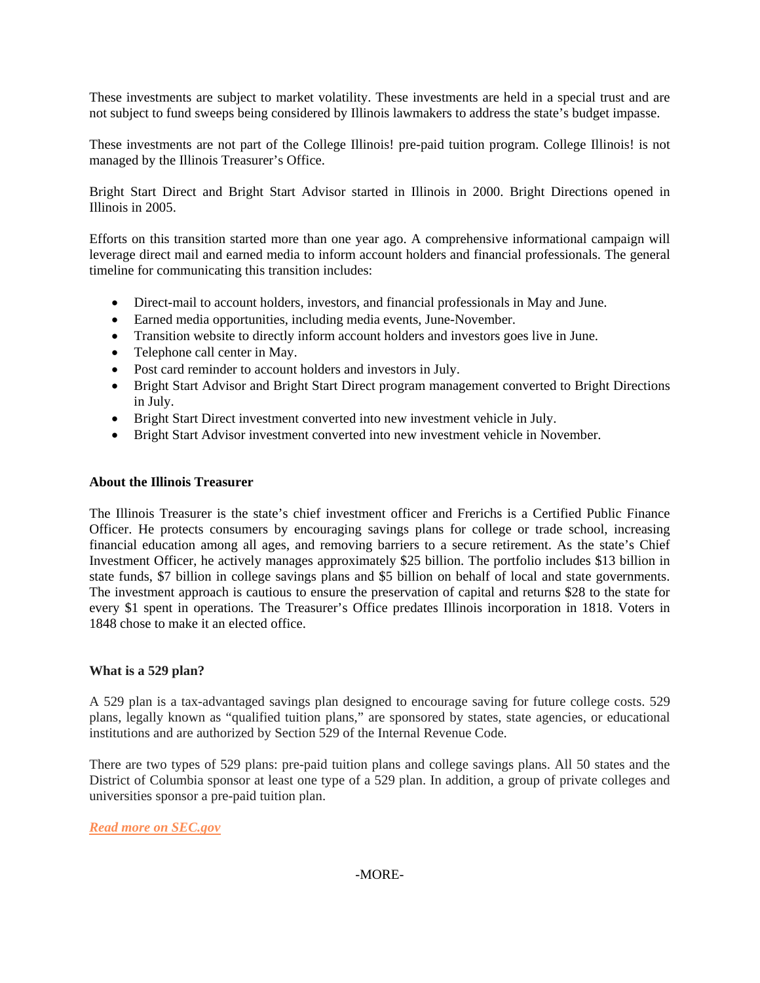These investments are subject to market volatility. These investments are held in a special trust and are not subject to fund sweeps being considered by Illinois lawmakers to address the state's budget impasse.

These investments are not part of the College Illinois! pre-paid tuition program. College Illinois! is not managed by the Illinois Treasurer's Office.

 Bright Start Direct and Bright Start Advisor started in Illinois in 2000. Bright Directions opened in Illinois in 2005.

 leverage direct mail and earned media to inform account holders and financial professionals. The general Efforts on this transition started more than one year ago. A comprehensive informational campaign will timeline for communicating this transition includes:

- Direct-mail to account holders, investors, and financial professionals in May and June.
- Earned media opportunities, including media events, June-November.
- • Transition website to directly inform account holders and investors goes live in June.
- Telephone call center in May.
- Post card reminder to account holders and investors in July.
- Bright Start Advisor and Bright Start Direct program management converted to Bright Directions in July.
- • Bright Start Direct investment converted into new investment vehicle in July.
- • Bright Start Advisor investment converted into new investment vehicle in November.

#### **About the Illinois Treasurer**

 The Illinois Treasurer is the state's chief investment officer and Frerichs is a Certified Public Finance Officer. He protects consumers by encouraging savings plans for college or trade school, increasing every \$1 spent in operations. The Treasurer's Office predates Illinois incorporation in 1818. Voters in financial education among all ages, and removing barriers to a secure retirement. As the state's Chief Investment Officer, he actively manages approximately \$25 billion. The portfolio includes \$13 billion in state funds, \$7 billion in college savings plans and \$5 billion on behalf of local and state governments. The investment approach is cautious to ensure the preservation of capital and returns \$28 to the state for 1848 chose to make it an elected office.

### **What is a 529 plan?**

A 529 plan is a tax-advantaged savings plan designed to encourage saving for future college costs. 529 plans, legally known as "qualified tuition plans," are sponsored by states, state agencies, or educational institutions and are authorized by Section 529 of the Internal Revenue Code.

 District of Columbia sponsor at least one type of a 529 plan. In addition, a group of private colleges and There are two types of 529 plans: pre-paid tuition plans and college savings plans. All 50 states and the universities sponsor a pre-paid tuition plan.

*[Read more on SEC.gov](https://www.sec.gov/investor/pubs/intro529.htm)*